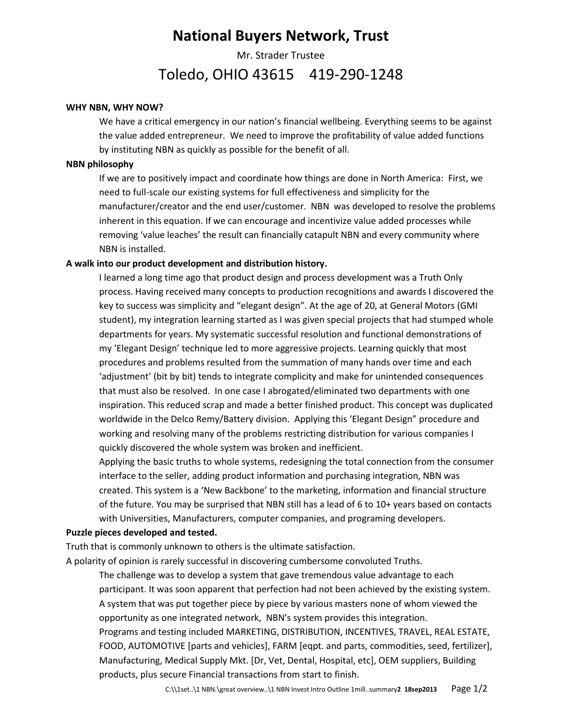# **National Buyers Network, Trust**

Mr. Strader Trustee

## Toledo, OHIO 43615 419-290-1248

#### **WHY NBN, WHY NOW?**

We have a critical emergency in our nation's financial wellbeing. Everything seems to be against the value added entrepreneur. We need to improve the profitability of value added functions by instituting NBN as quickly as possible for the benefit of all.

#### **NBN philosophy**

If we are to positively impact and coordinate how things are done in North America: First, we need to full-scale our existing systems for full effectiveness and simplicity for the manufacturer/creator and the end user/customer. NBN was developed to resolve the problems inherent in this equation. If we can encourage and incentivize value added processes while removing 'value leaches' the result can financially catapult NBN and every community where NBN is installed.

#### **A walk into our product development and distribution history.**

I learned a long time ago that product design and process development was a Truth Only process. Having received many concepts to production recognitions and awards I discovered the key to success was simplicity and "elegant design". At the age of 20, at General Motors (GMI student), my integration learning started as I was given special projects that had stumped whole departments for years. My systematic successful resolution and functional demonstrations of my 'Elegant Design' technique led to more aggressive projects. Learning quickly that most procedures and problems resulted from the summation of many hands over time and each 'adjustment' (bit by bit) tends to integrate complicity and make for unintended consequences that must also be resolved. In one case I abrogated/eliminated two departments with one inspiration. This reduced scrap and made a better finished product. This concept was duplicated worldwide in the Delco Remy/Battery division. Applying this 'Elegant Design" procedure and working and resolving many of the problems restricting distribution for various companies I quickly discovered the whole system was broken and inefficient.

Applying the basic truths to whole systems, redesigning the total connection from the consumer interface to the seller, adding product information and purchasing integration, NBN was created. This system is a 'New Backbone' to the marketing, information and financial structure of the future. You may be surprised that NBN still has a lead of 6 to 10+ years based on contacts with Universities, Manufacturers, computer companies, and programing developers.

#### **Puzzle pieces developed and tested.**

Truth that is commonly unknown to others is the ultimate satisfaction.

A polarity of opinion is rarely successful in discovering cumbersome convoluted Truths.

The challenge was to develop a system that gave tremendous value advantage to each participant. It was soon apparent that perfection had not been achieved by the existing system. A system that was put together piece by piece by various masters none of whom viewed the opportunity as one integrated network, NBN's system provides this integration. Programs and testing included MARKETING, DISTRIBUTION, INCENTIVES, TRAVEL, REAL ESTATE, FOOD, AUTOMOTIVE [parts and vehicles], FARM [eqpt. and parts, commodities, seed, fertilizer], Manufacturing, Medical Supply Mkt. [Dr, Vet, Dental, Hospital, etc], OEM suppliers, Building products, plus secure Financial transactions from start to finish.